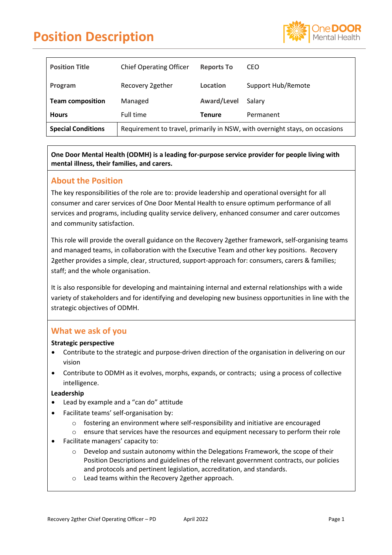

| <b>Position Title</b>     | <b>Chief Operating Officer</b>                                              | <b>Reports To</b>  | CEO                |
|---------------------------|-----------------------------------------------------------------------------|--------------------|--------------------|
| Program                   | Recovery 2gether                                                            | Location           | Support Hub/Remote |
| <b>Team composition</b>   | Managed                                                                     | <b>Award/Level</b> | Salary             |
| <b>Hours</b>              | Full time                                                                   | Tenure             | Permanent          |
| <b>Special Conditions</b> | Requirement to travel, primarily in NSW, with overnight stays, on occasions |                    |                    |

**One Door Mental Health (ODMH) is a leading for-purpose service provider for people living with mental illness, their families, and carers.**

### **About the Position**

The key responsibilities of the role are to: provide leadership and operational oversight for all consumer and carer services of One Door Mental Health to ensure optimum performance of all services and programs, including quality service delivery, enhanced consumer and carer outcomes and community satisfaction.

This role will provide the overall guidance on the Recovery 2gether framework, self-organising teams and managed teams, in collaboration with the Executive Team and other key positions. Recovery 2gether provides a simple, clear, structured, support-approach for: consumers, carers & families; staff; and the whole organisation.

It is also responsible for developing and maintaining internal and external relationships with a wide variety of stakeholders and for identifying and developing new business opportunities in line with the strategic objectives of ODMH.

### **What we ask of you**

#### **Strategic perspective**

- Contribute to the strategic and purpose-driven direction of the organisation in delivering on our vision
- Contribute to ODMH as it evolves, morphs, expands, or contracts; using a process of collective intelligence.

#### **Leadership**

- Lead by example and a "can do" attitude
- Facilitate teams' self-organisation by:
	- $\circ$  fostering an environment where self-responsibility and initiative are encouraged
	- o ensure that services have the resources and equipment necessary to perform their role
- Facilitate managers' capacity to:
	- $\circ$  Develop and sustain autonomy within the Delegations Framework, the scope of their Position Descriptions and guidelines of the relevant government contracts, our policies and protocols and pertinent legislation, accreditation, and standards.
	- o Lead teams within the Recovery 2gether approach.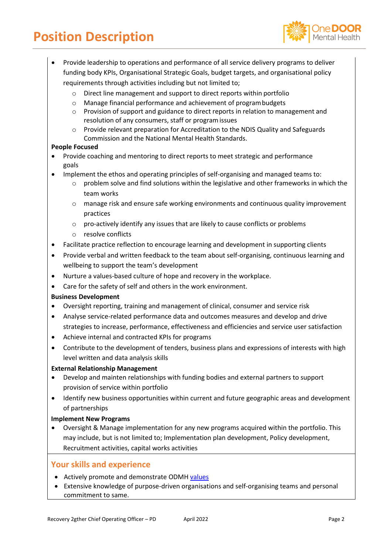

- Provide leadership to operations and performance of all service delivery programs to deliver funding body KPIs, Organisational Strategic Goals, budget targets, and organisational policy requirements through activities including but not limited to;
	- o Direct line management and support to direct reports within portfolio
	- o Manage financial performance and achievement of programbudgets
	- $\circ$  Provision of support and guidance to direct reports in relation to management and resolution of any consumers, staff or programissues
	- o Provide relevant preparation for Accreditation to the NDIS Quality and Safeguards Commission and the National Mental Health Standards.

#### **People Focused**

- Provide coaching and mentoring to direct reports to meet strategic and performance goals
- Implement the ethos and operating principles of self-organising and managed teams to:
	- $\circ$  problem solve and find solutions within the legislative and other frameworks in which the team works
	- o manage risk and ensure safe working environments and continuous quality improvement practices
	- o pro-actively identify any issues that are likely to cause conflicts or problems
	- o resolve conflicts
- Facilitate practice reflection to encourage learning and development in supporting clients
- Provide verbal and written feedback to the team about self-organising, continuous learning and wellbeing to support the team's development
- Nurture a values-based culture of hope and recovery in the workplace.
- Care for the safety of self and others in the work environment.

#### **Business Development**

- Oversight reporting, training and management of clinical, consumer and service risk
- Analyse service-related performance data and outcomes measures and develop and drive
- strategies to increase, performance, effectiveness and efficiencies and service user satisfaction
- Achieve internal and contracted KPIs for programs
- Contribute to the development of tenders, business plans and expressions of interests with high level written and data analysis skills

#### **External Relationship Management**

- Develop and mainten relationships with funding bodies and external partners to support provision of service within portfolio
- Identify new business opportunities within current and future geographic areas and development of partnerships

#### **Implement New Programs**

• Oversight & Manage implementation for any new programs acquired within the portfolio. This may include, but is not limited to; Implementation plan development, Policy development, Recruitment activities, capital works activities

### **Your skills and experience**

- Actively promote and demonstrate ODMH [values](https://www.onedoor.org.au/)
- Extensive knowledge of purpose-driven organisations and self-organising teams and personal commitment to same.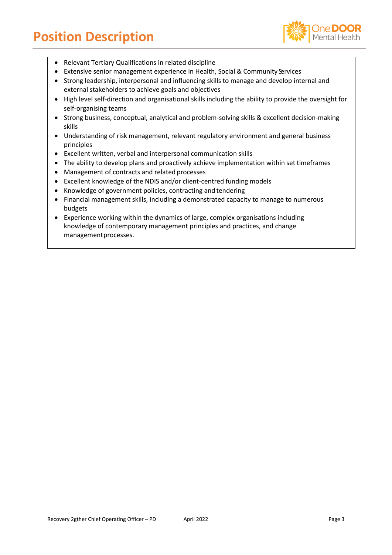

- Relevant Tertiary Qualifications in related discipline
- Extensive senior management experience in Health, Social & Community Services
- Strong leadership, interpersonal and influencing skills to manage and develop internal and external stakeholders to achieve goals and objectives
- High level self-direction and organisational skills including the ability to provide the oversight for self-organising teams
- Strong business, conceptual, analytical and problem-solving skills & excellent decision-making skills
- Understanding of risk management, relevant regulatory environment and general business principles
- Excellent written, verbal and interpersonal communication skills
- The ability to develop plans and proactively achieve implementation within set timeframes
- Management of contracts and related processes
- Excellent knowledge of the NDIS and/or client-centred funding models
- Knowledge of government policies, contracting and tendering
- Financial management skills, including a demonstrated capacity to manage to numerous budgets
- Experience working within the dynamics of large, complex organisations including knowledge of contemporary management principles and practices, and change managementprocesses.